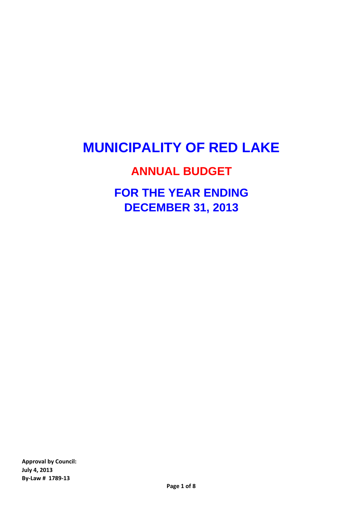# **MUNICIPALITY OF RED LAKE**

### **ANNUAL BUDGET**

## **FOR THE YEAR ENDING DECEMBER 31, 2013**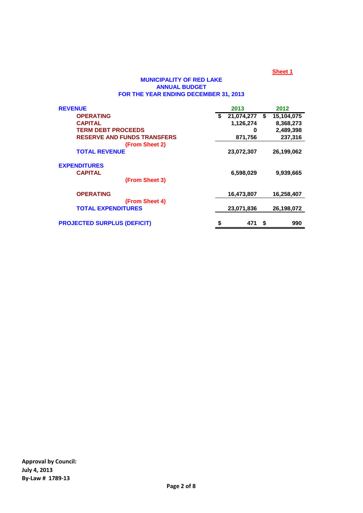#### **MUNICIPALITY OF RED LAKE ANNUAL BUDGET FOR THE YEAR ENDING DECEMBER 31, 2013**

| <b>REVENUE</b>                     | 2013             |      | 2012       |
|------------------------------------|------------------|------|------------|
| <b>OPERATING</b>                   | \$<br>21,074,277 | \$   | 15,104,075 |
| <b>CAPITAL</b>                     | 1,126,274        |      | 8,368,273  |
| <b>TERM DEBT PROCEEDS</b>          | 0                |      | 2,489,398  |
| <b>RESERVE AND FUNDS TRANSFERS</b> | 871,756          |      | 237,316    |
| (From Sheet 2)                     |                  |      |            |
| <b>TOTAL REVENUE</b>               | 23,072,307       |      | 26,199,062 |
| <b>EXPENDITURES</b>                |                  |      |            |
| <b>CAPITAL</b>                     | 6,598,029        |      | 9,939,665  |
| (From Sheet 3)                     |                  |      |            |
| <b>OPERATING</b>                   | 16,473,807       |      | 16,258,407 |
| (From Sheet 4)                     |                  |      |            |
| <b>TOTAL EXPENDITURES</b>          | 23,071,836       |      | 26.198.072 |
| <b>PROJECTED SURPLUS (DEFICIT)</b> | \$<br>471        | - \$ | 990        |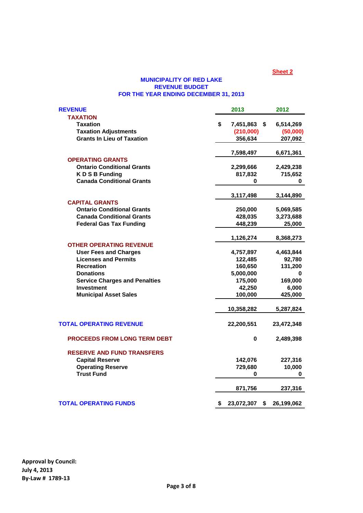#### **MUNICIPALITY OF RED LAKE REVENUE BUDGET FOR THE YEAR ENDING DECEMBER 31, 2013**

| <b>REVENUE</b>                       | 2013             | 2012                       |
|--------------------------------------|------------------|----------------------------|
| <b>TAXATION</b>                      |                  |                            |
| <b>Taxation</b>                      | \$<br>7,451,863  | $\sqrt[6]{3}$<br>6,514,269 |
| <b>Taxation Adjustments</b>          | (210,000)        | (50,000)                   |
| <b>Grants In Lieu of Taxation</b>    | 356,634          | 207,092                    |
|                                      | 7,598,497        | 6,671,361                  |
| <b>OPERATING GRANTS</b>              |                  |                            |
| <b>Ontario Conditional Grants</b>    | 2,299,666        | 2,429,238                  |
| <b>KDSB Funding</b>                  | 817,832          | 715,652                    |
| <b>Canada Conditional Grants</b>     | 0                | 0                          |
|                                      | 3,117,498        | 3,144,890                  |
| <b>CAPITAL GRANTS</b>                |                  |                            |
| <b>Ontario Conditional Grants</b>    | 250,000          | 5,069,585                  |
| <b>Canada Conditional Grants</b>     | 428,035          | 3,273,688                  |
| <b>Federal Gas Tax Funding</b>       | 448,239          | 25,000                     |
|                                      | 1,126,274        | 8,368,273                  |
| <b>OTHER OPERATING REVENUE</b>       |                  |                            |
| <b>User Fees and Charges</b>         | 4,757,897        | 4,463,844                  |
| <b>Licenses and Permits</b>          | 122,485          | 92,780                     |
| <b>Recreation</b>                    | 160,650          | 131,200                    |
| <b>Donations</b>                     | 5,000,000        | 0                          |
| <b>Service Charges and Penalties</b> | 175,000          | 169,000                    |
| <b>Investment</b>                    | 42,250           | 6,000                      |
| <b>Municipal Asset Sales</b>         | 100,000          | 425,000                    |
|                                      | 10,358,282       | 5,287,824                  |
| <b>TOTAL OPERATING REVENUE</b>       | 22,200,551       | 23,472,348                 |
| <b>PROCEEDS FROM LONG TERM DEBT</b>  | 0                | 2,489,398                  |
| <b>RESERVE AND FUND TRANSFERS</b>    |                  |                            |
| <b>Capital Reserve</b>               | 142,076          | 227,316                    |
| <b>Operating Reserve</b>             | 729,680          | 10,000                     |
| <b>Trust Fund</b>                    | 0                | 0                          |
|                                      | 871,756          | 237,316                    |
|                                      |                  |                            |
| <b>TOTAL OPERATING FUNDS</b>         | \$<br>23,072,307 | \$<br>26,199,062           |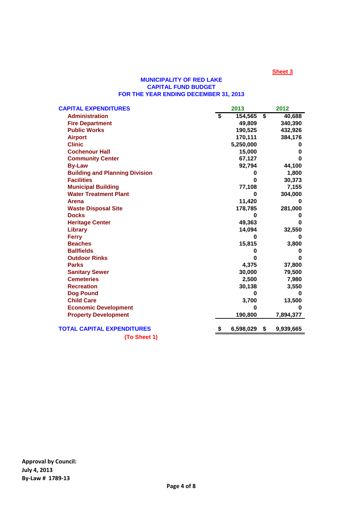#### **MUNICIPALITY OF RED LAKE CAPITAL FUND BUDGET FOR THE YEAR ENDING DECEMBER 31, 2013**

| <b>CAPITAL EXPENDITURES</b>           |   | 2013      |                         | 2012      |
|---------------------------------------|---|-----------|-------------------------|-----------|
| <b>Administration</b>                 | S | 154,565   | $\overline{\mathbf{s}}$ | 40,688    |
| <b>Fire Department</b>                |   | 49,809    |                         | 340,390   |
| <b>Public Works</b>                   |   | 190,525   |                         | 432,926   |
| <b>Airport</b>                        |   | 170,111   |                         | 384,176   |
| <b>Clinic</b>                         |   | 5,250,000 |                         | o         |
| <b>Cochenour Hall</b>                 |   | 15,000    |                         | o         |
| <b>Community Center</b>               |   | 67,127    |                         | o         |
| <b>By-Law</b>                         |   | 92,794    |                         | 44,100    |
| <b>Building and Planning Division</b> |   | 0         |                         | 1,800     |
| <b>Facilities</b>                     |   | 0         |                         | 30,373    |
| <b>Municipal Building</b>             |   | 77,108    |                         | 7,155     |
| <b>Water Treatment Plant</b>          |   | 0         |                         | 304,000   |
| <b>Arena</b>                          |   | 11,420    |                         | 0         |
| <b>Waste Disposal Site</b>            |   | 178,785   |                         | 281,000   |
| <b>Docks</b>                          |   | 0         |                         | o         |
| <b>Heritage Center</b>                |   | 49,363    |                         | O         |
| Library                               |   | 14,094    |                         | 32,550    |
| <b>Ferry</b>                          |   | 0         |                         | 0         |
| <b>Beaches</b>                        |   | 15,815    |                         | 3,800     |
| <b>Ballfields</b>                     |   | 0         |                         | 0         |
| <b>Outdoor Rinks</b>                  |   | 0         |                         | ŋ         |
| <b>Parks</b>                          |   | 4,375     |                         | 37,800    |
| <b>Sanitary Sewer</b>                 |   | 30,000    |                         | 79,500    |
| <b>Cemeteries</b>                     |   | 2,500     |                         | 7,980     |
| <b>Recreation</b>                     |   | 30,138    |                         | 3,550     |
| <b>Dog Pound</b>                      |   | 0         |                         | 0         |
| <b>Child Care</b>                     |   | 3,700     |                         | 13,500    |
| <b>Economic Development</b>           |   | 0         |                         | O         |
| <b>Property Development</b>           |   | 190,800   |                         | 7,894,377 |
| TOTAL CAPITAL EXPENDITURES            |   | 6,598,029 | \$                      | 9,939,665 |
| (To Sheet 1)                          |   |           |                         |           |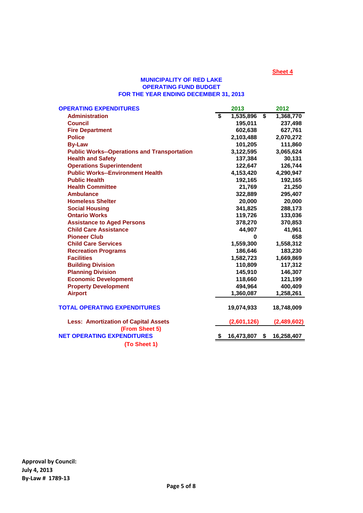#### **MUNICIPALITY OF RED LAKE OPERATING FUND BUDGET FOR THE YEAR ENDING DECEMBER 31, 2013**

| <b>OPERATING EXPENDITURES</b>                      |                         | 2013             | 2012        |
|----------------------------------------------------|-------------------------|------------------|-------------|
| <b>Administration</b>                              | $\overline{\mathbf{s}}$ | \$<br>1,535,896  | 1,368,770   |
| <b>Council</b>                                     |                         | 195,011          | 237,498     |
| <b>Fire Department</b>                             |                         | 602,638          | 627,761     |
| <b>Police</b>                                      |                         | 2,103,488        | 2,070,272   |
| <b>By-Law</b>                                      |                         | 101,205          | 111,860     |
| <b>Public Works--Operations and Transportation</b> |                         | 3,122,595        | 3,065,624   |
| <b>Health and Safety</b>                           |                         | 137,384          | 30,131      |
| <b>Operations Superintendent</b>                   |                         | 122,647          | 126,744     |
| <b>Public Works--Environment Health</b>            |                         | 4,153,420        | 4,290,947   |
| <b>Public Health</b>                               |                         | 192,165          | 192,165     |
| <b>Health Committee</b>                            |                         | 21,769           | 21,250      |
| <b>Ambulance</b>                                   |                         | 322,889          | 295,407     |
| <b>Homeless Shelter</b>                            |                         | 20,000           | 20,000      |
| <b>Social Housing</b>                              |                         | 341,825          | 288,173     |
| <b>Ontario Works</b>                               |                         | 119,726          | 133,036     |
| <b>Assistance to Aged Persons</b>                  |                         | 378,270          | 370,853     |
| <b>Child Care Assistance</b>                       |                         | 44,907           | 41,961      |
| <b>Pioneer Club</b>                                |                         | $\bf{0}$         | 658         |
| <b>Child Care Services</b>                         |                         | 1,559,300        | 1,558,312   |
| <b>Recreation Programs</b>                         |                         | 186,646          | 183,230     |
| <b>Facilities</b>                                  |                         | 1,582,723        | 1,669,869   |
| <b>Building Division</b>                           |                         | 110,809          | 117,312     |
| <b>Planning Division</b>                           |                         | 145,910          | 146,307     |
| <b>Economic Development</b>                        |                         | 118,660          | 121,199     |
| <b>Property Development</b>                        |                         | 494,964          | 400,409     |
| <b>Airport</b>                                     |                         | 1,360,087        | 1,258,261   |
| <b>TOTAL OPERATING EXPENDITURES</b>                |                         | 19,074,933       | 18,748,009  |
| <b>Less: Amortization of Capital Assets</b>        |                         | (2,601,126)      | (2,489,602) |
| (From Sheet 5)                                     |                         |                  |             |
| <b>NET OPERATING EXPENDITURES</b>                  | \$                      | 16,473,807<br>\$ | 16,258,407  |
| (To Sheet 1)                                       |                         |                  |             |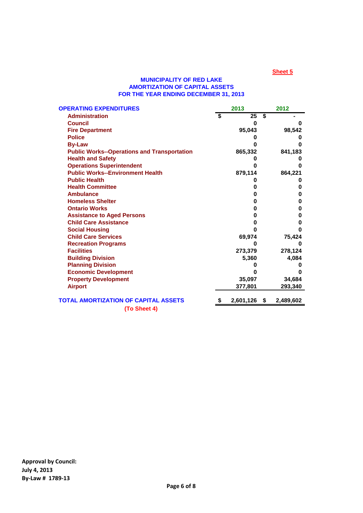#### **MUNICIPALITY OF RED LAKE AMORTIZATION OF CAPITAL ASSETS FOR THE YEAR ENDING DECEMBER 31, 2013**

| <b>OPERATING EXPENDITURES</b>                      | 2013      |     | 2012      |
|----------------------------------------------------|-----------|-----|-----------|
| <b>Administration</b>                              | \$<br>25  | \$  |           |
| <b>Council</b>                                     | 0         |     | O         |
| <b>Fire Department</b>                             | 95,043    |     | 98,542    |
| <b>Police</b>                                      | o         |     |           |
| <b>By-Law</b>                                      | Ω         |     | O         |
| <b>Public Works--Operations and Transportation</b> | 865,332   |     | 841,183   |
| <b>Health and Safety</b>                           |           |     |           |
| <b>Operations Superintendent</b>                   | Ω         |     | O         |
| <b>Public Works--Environment Health</b>            | 879,114   |     | 864,221   |
| <b>Public Health</b>                               | O         |     |           |
| <b>Health Committee</b>                            | 0         |     | 0         |
| <b>Ambulance</b>                                   | 0         |     | 0         |
| <b>Homeless Shelter</b>                            | 0         |     | 0         |
| <b>Ontario Works</b>                               | 0         |     | 0         |
| <b>Assistance to Aged Persons</b>                  | 0         |     | 0         |
| <b>Child Care Assistance</b>                       | 0         |     | 0         |
| <b>Social Housing</b>                              | O         |     | O         |
| <b>Child Care Services</b>                         | 69,974    |     | 75,424    |
| <b>Recreation Programs</b>                         | Ω         |     | o         |
| <b>Facilities</b>                                  | 273,379   |     | 278,124   |
| <b>Building Division</b>                           | 5,360     |     | 4,084     |
| <b>Planning Division</b>                           |           |     |           |
| <b>Economic Development</b>                        | 0         |     | O         |
| <b>Property Development</b>                        | 35,097    |     | 34,684    |
| <b>Airport</b>                                     | 377,801   |     | 293,340   |
| TOTAL AMORTIZATION OF CAPITAL ASSETS               | 2,601,126 | -\$ | 2,489,602 |
| (To Sheet 4)                                       |           |     |           |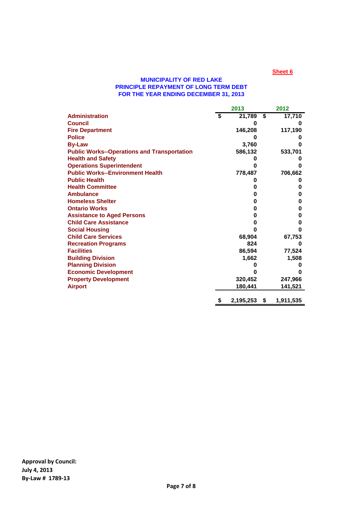#### **MUNICIPALITY OF RED LAKE PRINCIPLE REPAYMENT OF LONG TERM DEBT FOR THE YEAR ENDING DECEMBER 31, 2013**

|                                                    | 2013            |                             | 2012      |
|----------------------------------------------------|-----------------|-----------------------------|-----------|
| <b>Administration</b>                              | \$<br>21,789    | $\overline{\boldsymbol{s}}$ | 17,710    |
| <b>Council</b>                                     | 0               |                             | o         |
| <b>Fire Department</b>                             | 146,208         |                             | 117,190   |
| <b>Police</b>                                      |                 |                             |           |
| <b>By-Law</b>                                      | 3,760           |                             | n         |
| <b>Public Works--Operations and Transportation</b> | 586,132         |                             | 533,701   |
| <b>Health and Safety</b>                           |                 |                             | o         |
| <b>Operations Superintendent</b>                   | n               |                             | O         |
| <b>Public Works--Environment Health</b>            | 778,487         |                             | 706,662   |
| <b>Public Health</b>                               |                 |                             | o         |
| <b>Health Committee</b>                            | 0               |                             | 0         |
| <b>Ambulance</b>                                   | 0               |                             | 0         |
| <b>Homeless Shelter</b>                            | 0               |                             | 0         |
| <b>Ontario Works</b>                               | 0               |                             | 0         |
| <b>Assistance to Aged Persons</b>                  | 0               |                             | 0         |
| <b>Child Care Assistance</b>                       | 0               |                             | 0         |
| <b>Social Housing</b>                              | Λ               |                             | 0         |
| <b>Child Care Services</b>                         | 68,904          |                             | 67,753    |
| <b>Recreation Programs</b>                         | 824             |                             | ŋ         |
| <b>Facilities</b>                                  | 86,594          |                             | 77,524    |
| <b>Building Division</b>                           | 1,662           |                             | 1,508     |
| <b>Planning Division</b>                           |                 |                             | o         |
| <b>Economic Development</b>                        |                 |                             | O         |
| <b>Property Development</b>                        | 320,452         |                             | 247,966   |
| <b>Airport</b>                                     | 180,441         |                             | 141,521   |
|                                                    | \$<br>2,195,253 | \$                          | 1,911,535 |